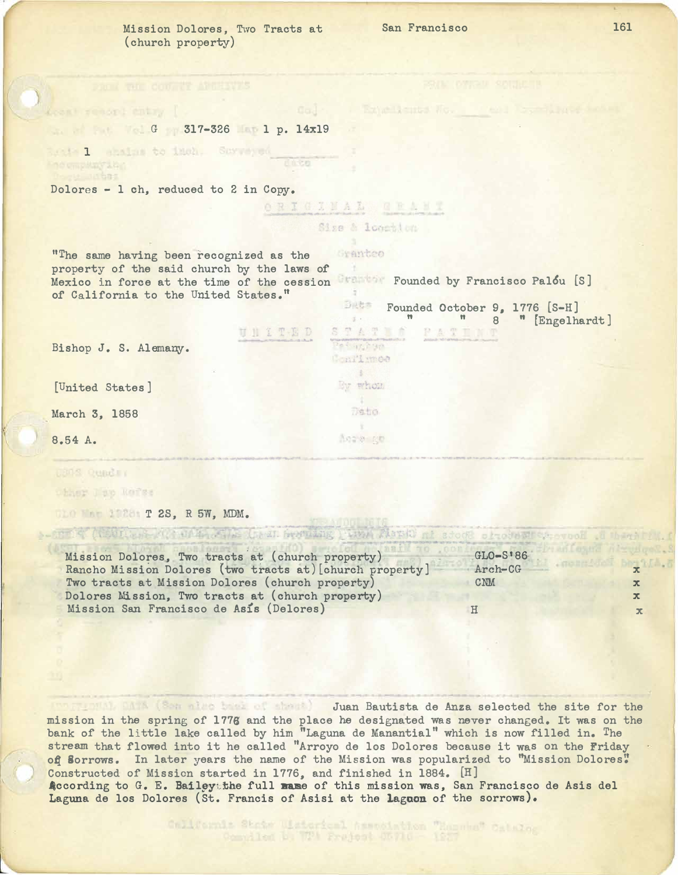Mission Dolores, Two Tracts at (church property)

San Francisco

**Expellents No.** 

STATION PATINT 8 " [Engelhardt]

G G 317-326 1 p. 14x19

Dolores - l oh, reduced to 2 in Copy.

isite 1 - ebains to imen. Surveyed<br>Geompanying

Acont renori entry [

eu utbas

ORIGINAL GRANT

Size & location

 $\mathcal{F}$ 

ne k<sub>ata</sub>h ya Confirmos  $\begin{array}{c} \begin{array}{c} \end{array} \end{array}$ By whom **Sec. 3** Deto.  $\mathbf{X}$ Acre go

Granteo "The same having been recognized as the property of the said church by the laws of **Francisco Palou [S]** Mexico in force at the time of the cession of California to the United States." Data Founded October 9, 1776 [S-H]

**Inten** 

**QUITED** 

Bishop J. S. Alemany.

[United States]

March 3, 1858

8.54 A.

 $\left\langle \right\rangle$ 

USAS QUARTY

ther I ap Kerse

T 2S, R 5W, MDM.

| Mission Dolores, Two tracts at (church property)         | $GLO-S186$ |              |
|----------------------------------------------------------|------------|--------------|
| Rancho Mission Dolores (two tracts at) [church property] | Arch-CG    |              |
| Two tracts at Mission Dolores (church property)          | <b>CNM</b> |              |
| Dolores Mission, Two tracts at (church property)         |            |              |
| Mission San Francisco de Asis (Delores)                  |            | $\mathbf{x}$ |

(po grapha), DATA (Son also base of sheet) Juan Bautista de Anza selected the site for the mission in the spring of 1776 and the place he designated was never changed. It was on the bank of the little lake called by him "Laguna de Manantial" which is now filled in. The stream that flowed into it he called "Arroyo de los Dolores because it was on the Friday of Sorrows. In later years the name of the Mission was popularized to "Mission Dolores" Constructed 0£ Mission started in 1776, and finished in 1884. [H] 4ocording to G. E. Bailgytbhe full name of this mission was, San Francisco de Asis del Laguna de los Dolores (St. Francis of Asisi at the laguon of the sorrows).

California State Wisterical Association "Hamme" Califor

161